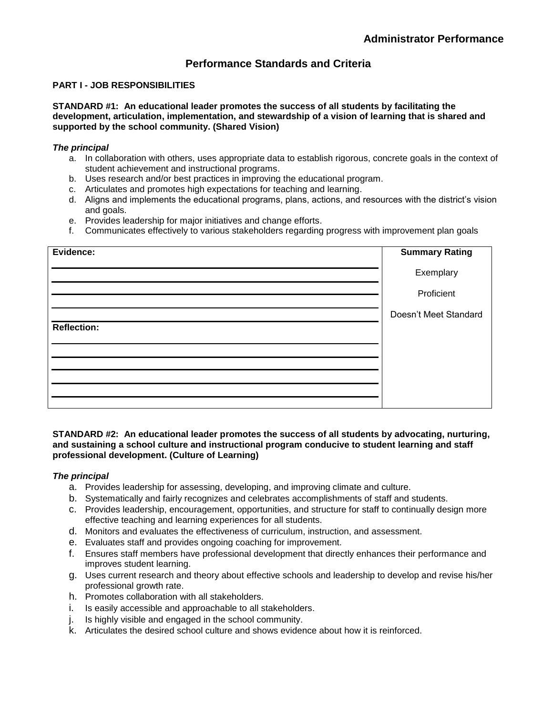## **Performance Standards and Criteria**

## **PART I - JOB RESPONSIBILITIES**

**STANDARD #1: An educational leader promotes the success of all students by facilitating the development, articulation, implementation, and stewardship of a vision of learning that is shared and supported by the school community. (Shared Vision)**

## *The principal*

- a. In collaboration with others, uses appropriate data to establish rigorous, concrete goals in the context of student achievement and instructional programs.
- b. Uses research and/or best practices in improving the educational program.
- c. Articulates and promotes high expectations for teaching and learning.
- d. Aligns and implements the educational programs, plans, actions, and resources with the district's vision and goals.
- e. Provides leadership for major initiatives and change efforts.
- f. Communicates effectively to various stakeholders regarding progress with improvement plan goals

| Evidence:   | <b>Summary Rating</b> |
|-------------|-----------------------|
|             | Exemplary             |
|             | Proficient            |
|             | Doesn't Meet Standard |
| Reflection: |                       |
|             |                       |
|             |                       |
|             |                       |
|             |                       |
|             |                       |

## **STANDARD #2: An educational leader promotes the success of all students by advocating, nurturing, and sustaining a school culture and instructional program conducive to student learning and staff professional development. (Culture of Learning)**

## *The principal*

- a. Provides leadership for assessing, developing, and improving climate and culture.
- b. Systematically and fairly recognizes and celebrates accomplishments of staff and students.
- c. Provides leadership, encouragement, opportunities, and structure for staff to continually design more effective teaching and learning experiences for all students.
- d. Monitors and evaluates the effectiveness of curriculum, instruction, and assessment.
- e. Evaluates staff and provides ongoing coaching for improvement.
- f. Ensures staff members have professional development that directly enhances their performance and improves student learning.
- g. Uses current research and theory about effective schools and leadership to develop and revise his/her professional growth rate.
- h. Promotes collaboration with all stakeholders.
- i. Is easily accessible and approachable to all stakeholders.
- j. Is highly visible and engaged in the school community.
- k. Articulates the desired school culture and shows evidence about how it is reinforced.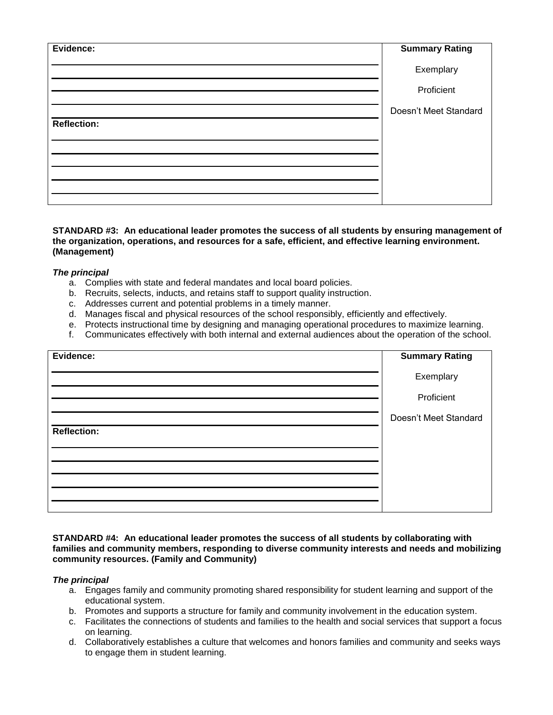| Evidence:   | <b>Summary Rating</b> |
|-------------|-----------------------|
|             | Exemplary             |
|             | Proficient            |
|             | Doesn't Meet Standard |
| Reflection: |                       |
|             |                       |
|             |                       |
|             |                       |
|             |                       |
|             |                       |

## **STANDARD #3: An educational leader promotes the success of all students by ensuring management of the organization, operations, and resources for a safe, efficient, and effective learning environment. (Management)**

## *The principal*

- a. Complies with state and federal mandates and local board policies.
- b. Recruits, selects, inducts, and retains staff to support quality instruction.
- c. Addresses current and potential problems in a timely manner.
- d. Manages fiscal and physical resources of the school responsibly, efficiently and effectively.
- e. Protects instructional time by designing and managing operational procedures to maximize learning.
- f. Communicates effectively with both internal and external audiences about the operation of the school.

| Evidence:          | <b>Summary Rating</b> |
|--------------------|-----------------------|
|                    | Exemplary             |
|                    | Proficient            |
|                    | Doesn't Meet Standard |
| <b>Reflection:</b> |                       |
|                    |                       |
|                    |                       |
|                    |                       |
|                    |                       |
|                    |                       |

## **STANDARD #4: An educational leader promotes the success of all students by collaborating with families and community members, responding to diverse community interests and needs and mobilizing community resources. (Family and Community)**

## *The principal*

- a. Engages family and community promoting shared responsibility for student learning and support of the educational system.
- b. Promotes and supports a structure for family and community involvement in the education system.
- c. Facilitates the connections of students and families to the health and social services that support a focus on learning.
- d. Collaboratively establishes a culture that welcomes and honors families and community and seeks ways to engage them in student learning.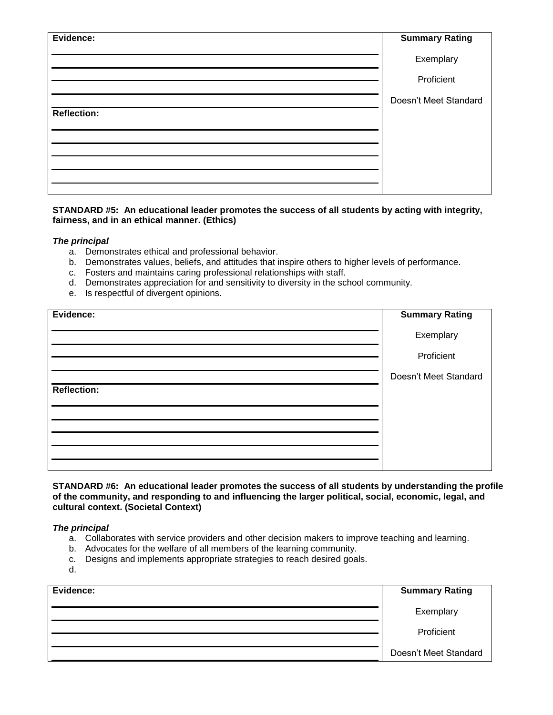| Evidence:   | <b>Summary Rating</b> |
|-------------|-----------------------|
|             | Exemplary             |
|             | Proficient            |
|             | Doesn't Meet Standard |
| Reflection: |                       |
|             |                       |
|             |                       |
|             |                       |
|             |                       |

## **STANDARD #5: An educational leader promotes the success of all students by acting with integrity, fairness, and in an ethical manner. (Ethics)**

## *The principal*

- a. Demonstrates ethical and professional behavior.
- b. Demonstrates values, beliefs, and attitudes that inspire others to higher levels of performance.
- c. Fosters and maintains caring professional relationships with staff.
- d. Demonstrates appreciation for and sensitivity to diversity in the school community.
- e. Is respectful of divergent opinions.

| Evidence:   | <b>Summary Rating</b> |
|-------------|-----------------------|
|             | Exemplary             |
|             | Proficient            |
|             | Doesn't Meet Standard |
| Reflection: |                       |
|             |                       |
|             |                       |
|             |                       |
|             |                       |
|             |                       |

**STANDARD #6: An educational leader promotes the success of all students by understanding the profile of the community, and responding to and influencing the larger political, social, economic, legal, and cultural context. (Societal Context)**

## *The principal*

- a. Collaborates with service providers and other decision makers to improve teaching and learning.
- b. Advocates for the welfare of all members of the learning community.
- c. Designs and implements appropriate strategies to reach desired goals.
- d.

| Evidence: | <b>Summary Rating</b> |
|-----------|-----------------------|
|           | Exemplary             |
|           | Proficient            |
|           | Doesn't Meet Standard |